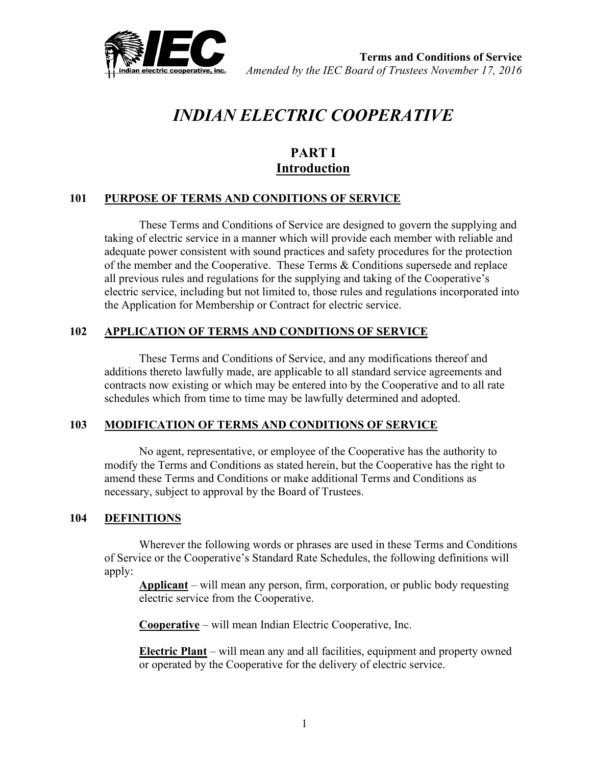

# *INDIAN ELECTRIC COOPERATIVE*

# **PART I Introduction**

## **101 PURPOSE OF TERMS AND CONDITIONS OF SERVICE**

These Terms and Conditions of Service are designed to govern the supplying and taking of electric service in a manner which will provide each member with reliable and adequate power consistent with sound practices and safety procedures for the protection of the member and the Cooperative. These Terms & Conditions supersede and replace all previous rules and regulations for the supplying and taking of the Cooperative's electric service, including but not limited to, those rules and regulations incorporated into the Application for Membership or Contract for electric service.

## **102 APPLICATION OF TERMS AND CONDITIONS OF SERVICE**

These Terms and Conditions of Service, and any modifications thereof and additions thereto lawfully made, are applicable to all standard service agreements and contracts now existing or which may be entered into by the Cooperative and to all rate schedules which from time to time may be lawfully determined and adopted.

#### **103 MODIFICATION OF TERMS AND CONDITIONS OF SERVICE**

No agent, representative, or employee of the Cooperative has the authority to modify the Terms and Conditions as stated herein, but the Cooperative has the right to amend these Terms and Conditions or make additional Terms and Conditions as necessary, subject to approval by the Board of Trustees.

#### **104 DEFINITIONS**

Wherever the following words or phrases are used in these Terms and Conditions of Service or the Cooperative's Standard Rate Schedules, the following definitions will apply:

**Applicant** – will mean any person, firm, corporation, or public body requesting electric service from the Cooperative.

**Cooperative** – will mean Indian Electric Cooperative, Inc.

**Electric Plant** – will mean any and all facilities, equipment and property owned or operated by the Cooperative for the delivery of electric service.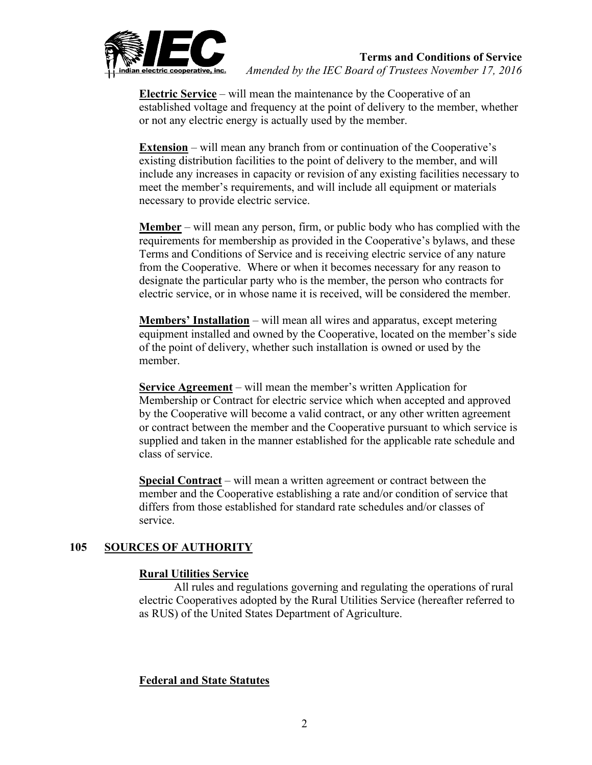

**Electric Service** – will mean the maintenance by the Cooperative of an established voltage and frequency at the point of delivery to the member, whether or not any electric energy is actually used by the member.

**Extension** – will mean any branch from or continuation of the Cooperative's existing distribution facilities to the point of delivery to the member, and will include any increases in capacity or revision of any existing facilities necessary to meet the member's requirements, and will include all equipment or materials necessary to provide electric service.

**Member** – will mean any person, firm, or public body who has complied with the requirements for membership as provided in the Cooperative's bylaws, and these Terms and Conditions of Service and is receiving electric service of any nature from the Cooperative. Where or when it becomes necessary for any reason to designate the particular party who is the member, the person who contracts for electric service, or in whose name it is received, will be considered the member.

**Members' Installation** – will mean all wires and apparatus, except metering equipment installed and owned by the Cooperative, located on the member's side of the point of delivery, whether such installation is owned or used by the member.

**Service Agreement** – will mean the member's written Application for Membership or Contract for electric service which when accepted and approved by the Cooperative will become a valid contract, or any other written agreement or contract between the member and the Cooperative pursuant to which service is supplied and taken in the manner established for the applicable rate schedule and class of service.

**Special Contract** – will mean a written agreement or contract between the member and the Cooperative establishing a rate and/or condition of service that differs from those established for standard rate schedules and/or classes of service.

## **105 SOURCES OF AUTHORITY**

## **Rural Utilities Service**

All rules and regulations governing and regulating the operations of rural electric Cooperatives adopted by the Rural Utilities Service (hereafter referred to as RUS) of the United States Department of Agriculture.

## **Federal and State Statutes**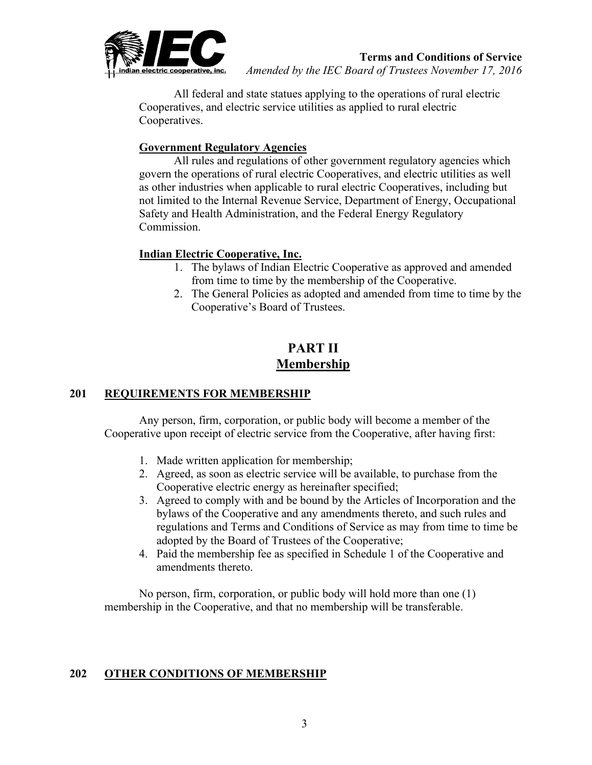

All federal and state statues applying to the operations of rural electric Cooperatives, and electric service utilities as applied to rural electric Cooperatives.

## **Government Regulatory Agencies**

All rules and regulations of other government regulatory agencies which govern the operations of rural electric Cooperatives, and electric utilities as well as other industries when applicable to rural electric Cooperatives, including but not limited to the Internal Revenue Service, Department of Energy, Occupational Safety and Health Administration, and the Federal Energy Regulatory Commission.

## **Indian Electric Cooperative, Inc.**

- 1. The bylaws of Indian Electric Cooperative as approved and amended from time to time by the membership of the Cooperative.
- 2. The General Policies as adopted and amended from time to time by the Cooperative's Board of Trustees.

# **PART II Membership**

## **201 REQUIREMENTS FOR MEMBERSHIP**

Any person, firm, corporation, or public body will become a member of the Cooperative upon receipt of electric service from the Cooperative, after having first:

- 1. Made written application for membership;
- 2. Agreed, as soon as electric service will be available, to purchase from the Cooperative electric energy as hereinafter specified;
- 3. Agreed to comply with and be bound by the Articles of Incorporation and the bylaws of the Cooperative and any amendments thereto, and such rules and regulations and Terms and Conditions of Service as may from time to time be adopted by the Board of Trustees of the Cooperative;
- 4. Paid the membership fee as specified in Schedule 1 of the Cooperative and amendments thereto.

No person, firm, corporation, or public body will hold more than one (1) membership in the Cooperative, and that no membership will be transferable.

## **202 OTHER CONDITIONS OF MEMBERSHIP**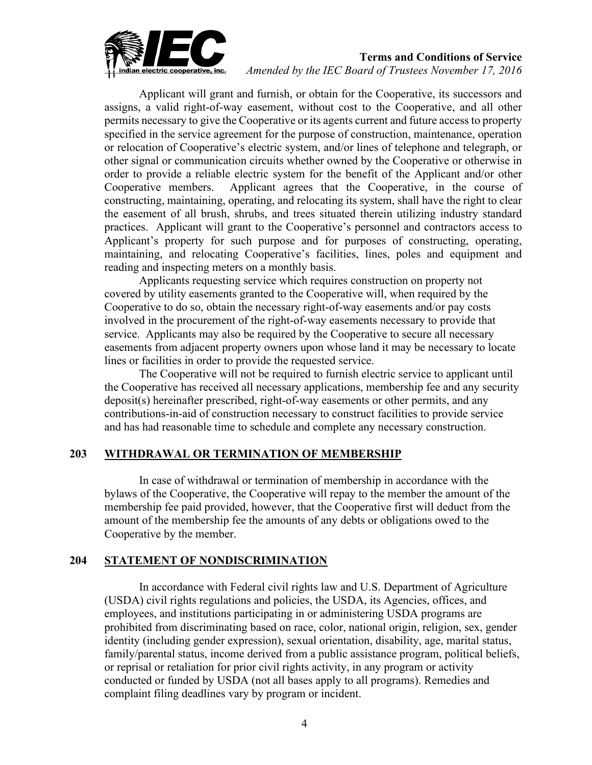

#### **Terms and Conditions of Service**

*Amended by the IEC Board of Trustees November 17, 2016*

Applicant will grant and furnish, or obtain for the Cooperative, its successors and assigns, a valid right-of-way easement, without cost to the Cooperative, and all other permits necessary to give the Cooperative or its agents current and future access to property specified in the service agreement for the purpose of construction, maintenance, operation or relocation of Cooperative's electric system, and/or lines of telephone and telegraph, or other signal or communication circuits whether owned by the Cooperative or otherwise in order to provide a reliable electric system for the benefit of the Applicant and/or other Cooperative members. Applicant agrees that the Cooperative, in the course of constructing, maintaining, operating, and relocating its system, shall have the right to clear the easement of all brush, shrubs, and trees situated therein utilizing industry standard practices. Applicant will grant to the Cooperative's personnel and contractors access to Applicant's property for such purpose and for purposes of constructing, operating, maintaining, and relocating Cooperative's facilities, lines, poles and equipment and reading and inspecting meters on a monthly basis.

Applicants requesting service which requires construction on property not covered by utility easements granted to the Cooperative will, when required by the Cooperative to do so, obtain the necessary right-of-way easements and/or pay costs involved in the procurement of the right-of-way easements necessary to provide that service. Applicants may also be required by the Cooperative to secure all necessary easements from adjacent property owners upon whose land it may be necessary to locate lines or facilities in order to provide the requested service.

The Cooperative will not be required to furnish electric service to applicant until the Cooperative has received all necessary applications, membership fee and any security deposit(s) hereinafter prescribed, right-of-way easements or other permits, and any contributions-in-aid of construction necessary to construct facilities to provide service and has had reasonable time to schedule and complete any necessary construction.

#### **203 WITHDRAWAL OR TERMINATION OF MEMBERSHIP**

In case of withdrawal or termination of membership in accordance with the bylaws of the Cooperative, the Cooperative will repay to the member the amount of the membership fee paid provided, however, that the Cooperative first will deduct from the amount of the membership fee the amounts of any debts or obligations owed to the Cooperative by the member.

#### **204 STATEMENT OF NONDISCRIMINATION**

In accordance with Federal civil rights law and U.S. Department of Agriculture (USDA) civil rights regulations and policies, the USDA, its Agencies, offices, and employees, and institutions participating in or administering USDA programs are prohibited from discriminating based on race, color, national origin, religion, sex, gender identity (including gender expression), sexual orientation, disability, age, marital status, family/parental status, income derived from a public assistance program, political beliefs, or reprisal or retaliation for prior civil rights activity, in any program or activity conducted or funded by USDA (not all bases apply to all programs). Remedies and complaint filing deadlines vary by program or incident.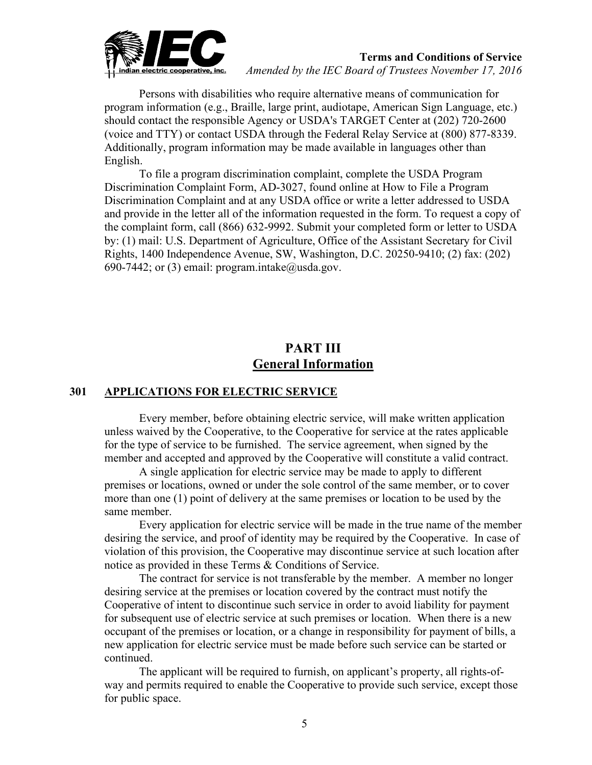

Persons with disabilities who require alternative means of communication for program information (e.g., Braille, large print, audiotape, American Sign Language, etc.) should contact the responsible Agency or USDA's TARGET Center at (202) 720-2600 (voice and TTY) or contact USDA through the Federal Relay Service at (800) 877-8339. Additionally, program information may be made available in languages other than English.

To file a program discrimination complaint, complete the USDA Program Discrimination Complaint Form, AD-3027, found online at [How to File a Program](https://www.usda.gov/oascr/how-to-file-a-program-discrimination-complaint)  [Discrimination Complaint](https://www.usda.gov/oascr/how-to-file-a-program-discrimination-complaint) and at any USDA office or write a letter addressed to USDA and provide in the letter all of the information requested in the form. To request a copy of the complaint form, call (866) 632-9992. Submit your completed form or letter to USDA by: (1) mail: U.S. Department of Agriculture, Office of the Assistant Secretary for Civil Rights, 1400 Independence Avenue, SW, Washington, D.C. 20250-9410; (2) fax: (202) 690-7442; or (3) email: [program.intake@usda.gov.](mailto:program.intake@usda.gov)

# **PART III General Information**

#### **301 APPLICATIONS FOR ELECTRIC SERVICE**

Every member, before obtaining electric service, will make written application unless waived by the Cooperative, to the Cooperative for service at the rates applicable for the type of service to be furnished. The service agreement, when signed by the member and accepted and approved by the Cooperative will constitute a valid contract.

A single application for electric service may be made to apply to different premises or locations, owned or under the sole control of the same member, or to cover more than one (1) point of delivery at the same premises or location to be used by the same member.

Every application for electric service will be made in the true name of the member desiring the service, and proof of identity may be required by the Cooperative. In case of violation of this provision, the Cooperative may discontinue service at such location after notice as provided in these Terms & Conditions of Service.

The contract for service is not transferable by the member. A member no longer desiring service at the premises or location covered by the contract must notify the Cooperative of intent to discontinue such service in order to avoid liability for payment for subsequent use of electric service at such premises or location. When there is a new occupant of the premises or location, or a change in responsibility for payment of bills, a new application for electric service must be made before such service can be started or continued.

The applicant will be required to furnish, on applicant's property, all rights-ofway and permits required to enable the Cooperative to provide such service, except those for public space.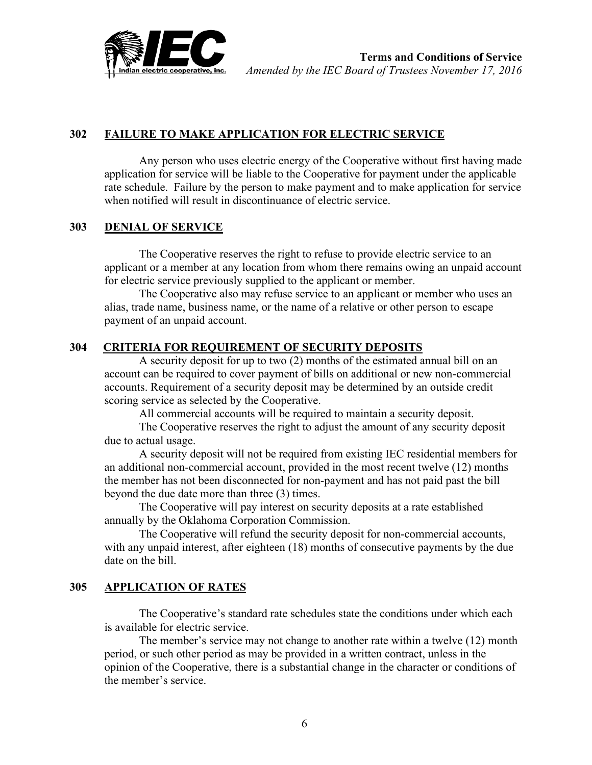

## **302 FAILURE TO MAKE APPLICATION FOR ELECTRIC SERVICE**

Any person who uses electric energy of the Cooperative without first having made application for service will be liable to the Cooperative for payment under the applicable rate schedule. Failure by the person to make payment and to make application for service when notified will result in discontinuance of electric service.

#### **303 DENIAL OF SERVICE**

The Cooperative reserves the right to refuse to provide electric service to an applicant or a member at any location from whom there remains owing an unpaid account for electric service previously supplied to the applicant or member.

The Cooperative also may refuse service to an applicant or member who uses an alias, trade name, business name, or the name of a relative or other person to escape payment of an unpaid account.

## **304 CRITERIA FOR REQUIREMENT OF SECURITY DEPOSITS**

A security deposit for up to two (2) months of the estimated annual bill on an account can be required to cover payment of bills on additional or new non-commercial accounts. Requirement of a security deposit may be determined by an outside credit scoring service as selected by the Cooperative.

All commercial accounts will be required to maintain a security deposit.

The Cooperative reserves the right to adjust the amount of any security deposit due to actual usage.

A security deposit will not be required from existing IEC residential members for an additional non-commercial account, provided in the most recent twelve (12) months the member has not been disconnected for non-payment and has not paid past the bill beyond the due date more than three (3) times.

The Cooperative will pay interest on security deposits at a rate established annually by the Oklahoma Corporation Commission.

The Cooperative will refund the security deposit for non-commercial accounts, with any unpaid interest, after eighteen (18) months of consecutive payments by the due date on the bill.

#### **305 APPLICATION OF RATES**

The Cooperative's standard rate schedules state the conditions under which each is available for electric service.

The member's service may not change to another rate within a twelve (12) month period, or such other period as may be provided in a written contract, unless in the opinion of the Cooperative, there is a substantial change in the character or conditions of the member's service.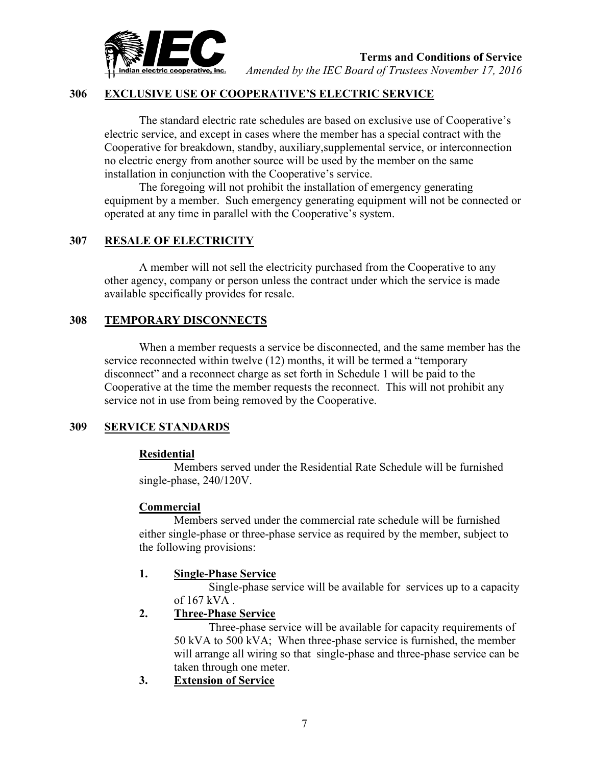

#### **306 EXCLUSIVE USE OF COOPERATIVE'S ELECTRIC SERVICE**

The standard electric rate schedules are based on exclusive use of Cooperative's electric service, and except in cases where the member has a special contract with the Cooperative for breakdown, standby, auxiliary,supplemental service, or interconnection no electric energy from another source will be used by the member on the same installation in conjunction with the Cooperative's service.

The foregoing will not prohibit the installation of emergency generating equipment by a member. Such emergency generating equipment will not be connected or operated at any time in parallel with the Cooperative's system.

#### **307 RESALE OF ELECTRICITY**

A member will not sell the electricity purchased from the Cooperative to any other agency, company or person unless the contract under which the service is made available specifically provides for resale.

#### **308 TEMPORARY DISCONNECTS**

When a member requests a service be disconnected, and the same member has the service reconnected within twelve (12) months, it will be termed a "temporary disconnect" and a reconnect charge as set forth in Schedule 1 will be paid to the Cooperative at the time the member requests the reconnect. This will not prohibit any service not in use from being removed by the Cooperative.

#### **309 SERVICE STANDARDS**

#### **Residential**

Members served under the Residential Rate Schedule will be furnished single-phase, 240/120V.

#### **Commercial**

Members served under the commercial rate schedule will be furnished either single-phase or three-phase service as required by the member, subject to the following provisions:

#### **1. Single-Phase Service**

 Single-phase service will be available for services up to a capacity of 167 kVA .

#### **2. Three-Phase Service**

Three-phase service will be available for capacity requirements of 50 kVA to 500 kVA; When three-phase service is furnished, the member will arrange all wiring so that single-phase and three-phase service can be taken through one meter.

**3. Extension of Service**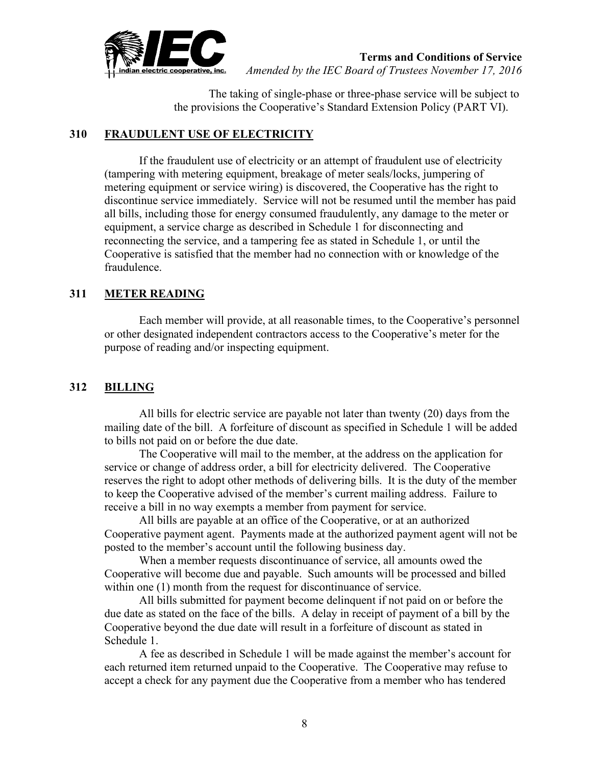

The taking of single-phase or three-phase service will be subject to the provisions the Cooperative's Standard Extension Policy (PART VI).

#### **310 FRAUDULENT USE OF ELECTRICITY**

If the fraudulent use of electricity or an attempt of fraudulent use of electricity (tampering with metering equipment, breakage of meter seals/locks, jumpering of metering equipment or service wiring) is discovered, the Cooperative has the right to discontinue service immediately. Service will not be resumed until the member has paid all bills, including those for energy consumed fraudulently, any damage to the meter or equipment, a service charge as described in Schedule 1 for disconnecting and reconnecting the service, and a tampering fee as stated in Schedule 1, or until the Cooperative is satisfied that the member had no connection with or knowledge of the fraudulence.

## **311 METER READING**

Each member will provide, at all reasonable times, to the Cooperative's personnel or other designated independent contractors access to the Cooperative's meter for the purpose of reading and/or inspecting equipment.

## **312 BILLING**

All bills for electric service are payable not later than twenty (20) days from the mailing date of the bill. A forfeiture of discount as specified in Schedule 1 will be added to bills not paid on or before the due date.

The Cooperative will mail to the member, at the address on the application for service or change of address order, a bill for electricity delivered. The Cooperative reserves the right to adopt other methods of delivering bills. It is the duty of the member to keep the Cooperative advised of the member's current mailing address. Failure to receive a bill in no way exempts a member from payment for service.

All bills are payable at an office of the Cooperative, or at an authorized Cooperative payment agent. Payments made at the authorized payment agent will not be posted to the member's account until the following business day.

When a member requests discontinuance of service, all amounts owed the Cooperative will become due and payable. Such amounts will be processed and billed within one (1) month from the request for discontinuance of service.

All bills submitted for payment become delinquent if not paid on or before the due date as stated on the face of the bills. A delay in receipt of payment of a bill by the Cooperative beyond the due date will result in a forfeiture of discount as stated in Schedule 1.

A fee as described in Schedule 1 will be made against the member's account for each returned item returned unpaid to the Cooperative. The Cooperative may refuse to accept a check for any payment due the Cooperative from a member who has tendered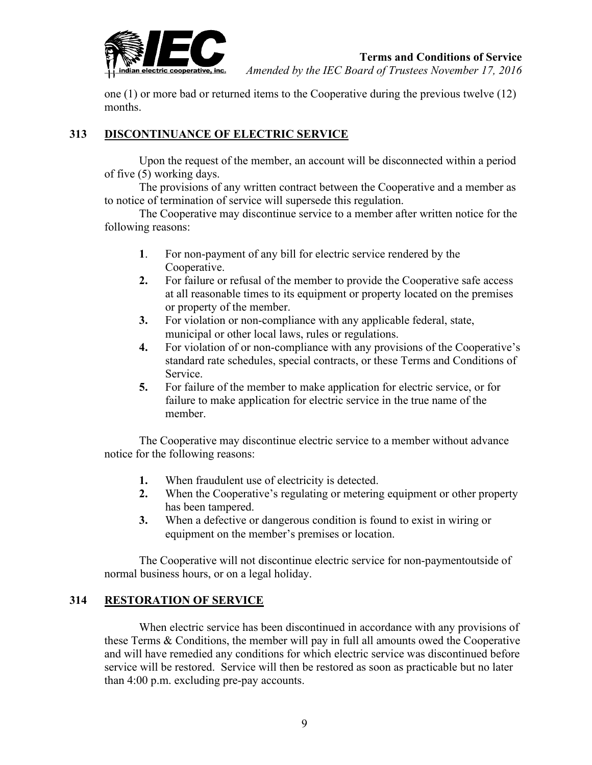

one (1) or more bad or returned items to the Cooperative during the previous twelve (12) months.

## **313 DISCONTINUANCE OF ELECTRIC SERVICE**

Upon the request of the member, an account will be disconnected within a period of five (5) working days.

The provisions of any written contract between the Cooperative and a member as to notice of termination of service will supersede this regulation.

The Cooperative may discontinue service to a member after written notice for the following reasons:

- **1**. For non-payment of any bill for electric service rendered by the Cooperative.
- **2.** For failure or refusal of the member to provide the Cooperative safe access at all reasonable times to its equipment or property located on the premises or property of the member.
- **3.** For violation or non-compliance with any applicable federal, state, municipal or other local laws, rules or regulations.
- **4.** For violation of or non-compliance with any provisions of the Cooperative's standard rate schedules, special contracts, or these Terms and Conditions of Service.
- **5.** For failure of the member to make application for electric service, or for failure to make application for electric service in the true name of the member.

The Cooperative may discontinue electric service to a member without advance notice for the following reasons:

- **1.** When fraudulent use of electricity is detected.
- **2.** When the Cooperative's regulating or metering equipment or other property has been tampered.
- **3.** When a defective or dangerous condition is found to exist in wiring or equipment on the member's premises or location.

The Cooperative will not discontinue electric service for non-paymentoutside of normal business hours, or on a legal holiday.

## **314 RESTORATION OF SERVICE**

When electric service has been discontinued in accordance with any provisions of these Terms & Conditions, the member will pay in full all amounts owed the Cooperative and will have remedied any conditions for which electric service was discontinued before service will be restored. Service will then be restored as soon as practicable but no later than 4:00 p.m. excluding pre-pay accounts.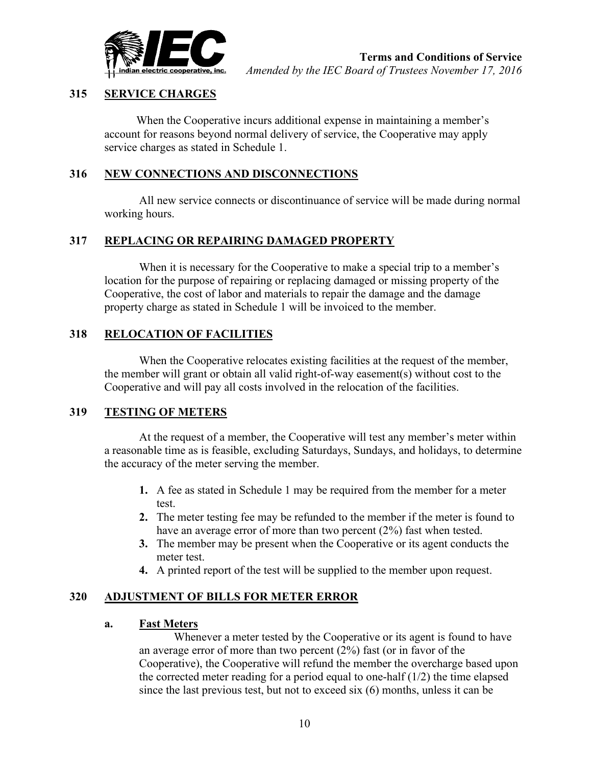

## **315 SERVICE CHARGES**

When the Cooperative incurs additional expense in maintaining a member's account for reasons beyond normal delivery of service, the Cooperative may apply service charges as stated in Schedule 1.

## **316 NEW CONNECTIONS AND DISCONNECTIONS**

All new service connects or discontinuance of service will be made during normal working hours.

## **317 REPLACING OR REPAIRING DAMAGED PROPERTY**

When it is necessary for the Cooperative to make a special trip to a member's location for the purpose of repairing or replacing damaged or missing property of the Cooperative, the cost of labor and materials to repair the damage and the damage property charge as stated in Schedule 1 will be invoiced to the member.

## **318 RELOCATION OF FACILITIES**

When the Cooperative relocates existing facilities at the request of the member, the member will grant or obtain all valid right-of-way easement(s) without cost to the Cooperative and will pay all costs involved in the relocation of the facilities.

#### **319 TESTING OF METERS**

At the request of a member, the Cooperative will test any member's meter within a reasonable time as is feasible, excluding Saturdays, Sundays, and holidays, to determine the accuracy of the meter serving the member.

- **1.** A fee as stated in Schedule 1 may be required from the member for a meter test.
- **2.** The meter testing fee may be refunded to the member if the meter is found to have an average error of more than two percent (2%) fast when tested.
- **3.** The member may be present when the Cooperative or its agent conducts the meter test.
- **4.** A printed report of the test will be supplied to the member upon request.

## **320 ADJUSTMENT OF BILLS FOR METER ERROR**

## **a. Fast Meters**

Whenever a meter tested by the Cooperative or its agent is found to have an average error of more than two percent (2%) fast (or in favor of the Cooperative), the Cooperative will refund the member the overcharge based upon the corrected meter reading for a period equal to one-half  $(1/2)$  the time elapsed since the last previous test, but not to exceed six (6) months, unless it can be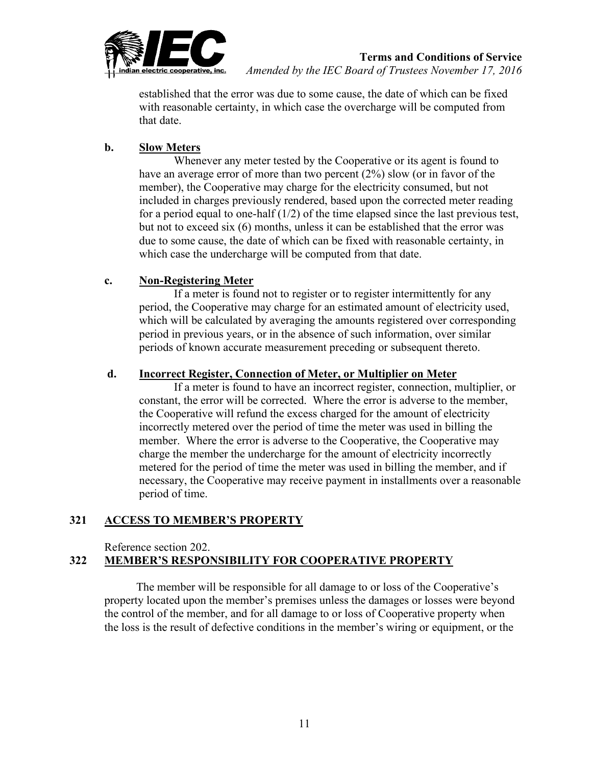

established that the error was due to some cause, the date of which can be fixed with reasonable certainty, in which case the overcharge will be computed from that date.

## **b. Slow Meters**

Whenever any meter tested by the Cooperative or its agent is found to have an average error of more than two percent (2%) slow (or in favor of the member), the Cooperative may charge for the electricity consumed, but not included in charges previously rendered, based upon the corrected meter reading for a period equal to one-half  $(1/2)$  of the time elapsed since the last previous test, but not to exceed six (6) months, unless it can be established that the error was due to some cause, the date of which can be fixed with reasonable certainty, in which case the undercharge will be computed from that date.

## **c. Non-Registering Meter**

If a meter is found not to register or to register intermittently for any period, the Cooperative may charge for an estimated amount of electricity used, which will be calculated by averaging the amounts registered over corresponding period in previous years, or in the absence of such information, over similar periods of known accurate measurement preceding or subsequent thereto.

## **d. Incorrect Register, Connection of Meter, or Multiplier on Meter**

If a meter is found to have an incorrect register, connection, multiplier, or constant, the error will be corrected. Where the error is adverse to the member, the Cooperative will refund the excess charged for the amount of electricity incorrectly metered over the period of time the meter was used in billing the member. Where the error is adverse to the Cooperative, the Cooperative may charge the member the undercharge for the amount of electricity incorrectly metered for the period of time the meter was used in billing the member, and if necessary, the Cooperative may receive payment in installments over a reasonable period of time.

## **321 ACCESS TO MEMBER'S PROPERTY**

Reference section 202.

# **322 MEMBER'S RESPONSIBILITY FOR COOPERATIVE PROPERTY**

The member will be responsible for all damage to or loss of the Cooperative's property located upon the member's premises unless the damages or losses were beyond the control of the member, and for all damage to or loss of Cooperative property when the loss is the result of defective conditions in the member's wiring or equipment, or the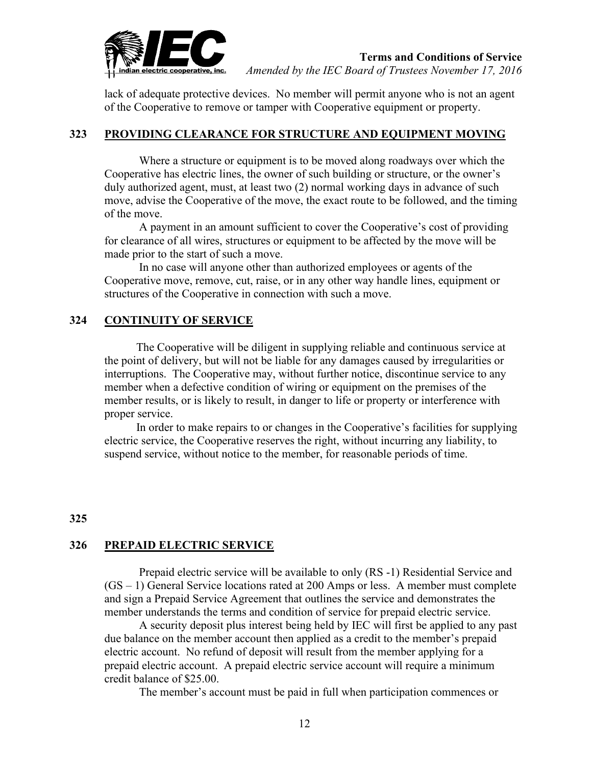

lack of adequate protective devices. No member will permit anyone who is not an agent of the Cooperative to remove or tamper with Cooperative equipment or property.

#### **323 PROVIDING CLEARANCE FOR STRUCTURE AND EQUIPMENT MOVING**

Where a structure or equipment is to be moved along roadways over which the Cooperative has electric lines, the owner of such building or structure, or the owner's duly authorized agent, must, at least two (2) normal working days in advance of such move, advise the Cooperative of the move, the exact route to be followed, and the timing of the move.

A payment in an amount sufficient to cover the Cooperative's cost of providing for clearance of all wires, structures or equipment to be affected by the move will be made prior to the start of such a move.

In no case will anyone other than authorized employees or agents of the Cooperative move, remove, cut, raise, or in any other way handle lines, equipment or structures of the Cooperative in connection with such a move.

#### **324 CONTINUITY OF SERVICE**

The Cooperative will be diligent in supplying reliable and continuous service at the point of delivery, but will not be liable for any damages caused by irregularities or interruptions. The Cooperative may, without further notice, discontinue service to any member when a defective condition of wiring or equipment on the premises of the member results, or is likely to result, in danger to life or property or interference with proper service.

In order to make repairs to or changes in the Cooperative's facilities for supplying electric service, the Cooperative reserves the right, without incurring any liability, to suspend service, without notice to the member, for reasonable periods of time.

#### **325**

#### **326 PREPAID ELECTRIC SERVICE**

Prepaid electric service will be available to only (RS -1) Residential Service and (GS – 1) General Service locations rated at 200 Amps or less. A member must complete and sign a Prepaid Service Agreement that outlines the service and demonstrates the member understands the terms and condition of service for prepaid electric service.

A security deposit plus interest being held by IEC will first be applied to any past due balance on the member account then applied as a credit to the member's prepaid electric account. No refund of deposit will result from the member applying for a prepaid electric account. A prepaid electric service account will require a minimum credit balance of \$25.00.

The member's account must be paid in full when participation commences or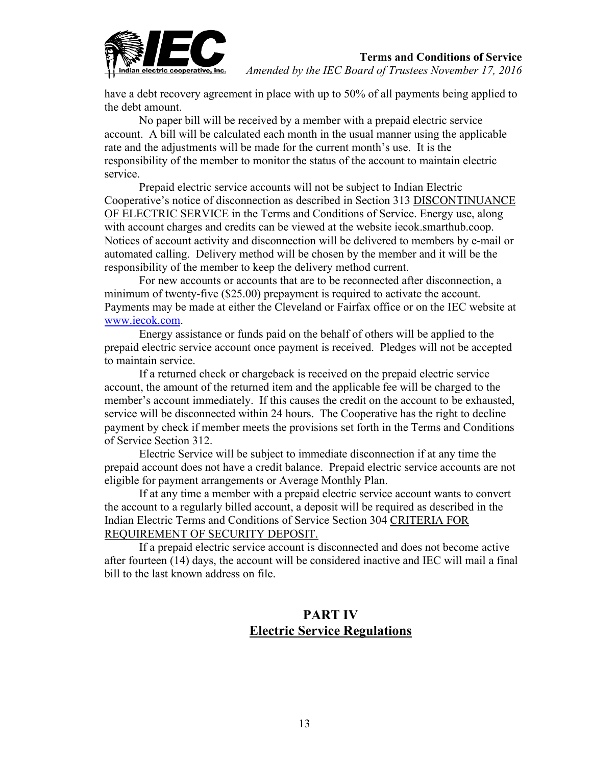

have a debt recovery agreement in place with up to 50% of all payments being applied to the debt amount.

No paper bill will be received by a member with a prepaid electric service account. A bill will be calculated each month in the usual manner using the applicable rate and the adjustments will be made for the current month's use. It is the responsibility of the member to monitor the status of the account to maintain electric service.

Prepaid electric service accounts will not be subject to Indian Electric Cooperative's notice of disconnection as described in Section 313 DISCONTINUANCE OF ELECTRIC SERVICE in the Terms and Conditions of Service. Energy use, along with account charges and credits can be viewed at the website iecok.smarthub.coop. Notices of account activity and disconnection will be delivered to members by e-mail or automated calling. Delivery method will be chosen by the member and it will be the responsibility of the member to keep the delivery method current.

For new accounts or accounts that are to be reconnected after disconnection, a minimum of twenty-five (\$25.00) prepayment is required to activate the account. Payments may be made at either the Cleveland or Fairfax office or on the IEC website at [www.iecok.com.](http://www.iecok.com/)

Energy assistance or funds paid on the behalf of others will be applied to the prepaid electric service account once payment is received. Pledges will not be accepted to maintain service.

If a returned check or chargeback is received on the prepaid electric service account, the amount of the returned item and the applicable fee will be charged to the member's account immediately. If this causes the credit on the account to be exhausted, service will be disconnected within 24 hours. The Cooperative has the right to decline payment by check if member meets the provisions set forth in the Terms and Conditions of Service Section 312.

Electric Service will be subject to immediate disconnection if at any time the prepaid account does not have a credit balance. Prepaid electric service accounts are not eligible for payment arrangements or Average Monthly Plan.

If at any time a member with a prepaid electric service account wants to convert the account to a regularly billed account, a deposit will be required as described in the Indian Electric Terms and Conditions of Service Section 304 CRITERIA FOR REQUIREMENT OF SECURITY DEPOSIT.

If a prepaid electric service account is disconnected and does not become active after fourteen (14) days, the account will be considered inactive and IEC will mail a final bill to the last known address on file.

## **PART IV Electric Service Regulations**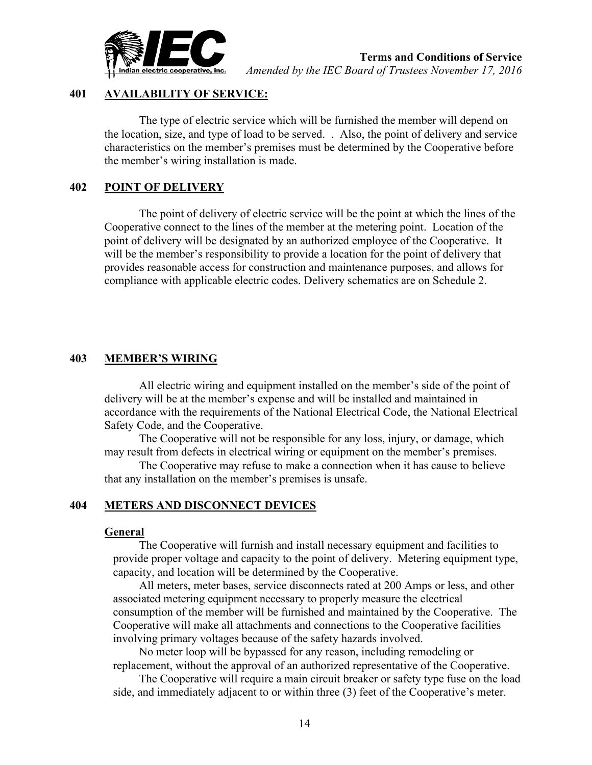

#### **401 AVAILABILITY OF SERVICE:**

The type of electric service which will be furnished the member will depend on the location, size, and type of load to be served. . Also, the point of delivery and service characteristics on the member's premises must be determined by the Cooperative before the member's wiring installation is made.

## **402 POINT OF DELIVERY**

The point of delivery of electric service will be the point at which the lines of the Cooperative connect to the lines of the member at the metering point. Location of the point of delivery will be designated by an authorized employee of the Cooperative. It will be the member's responsibility to provide a location for the point of delivery that provides reasonable access for construction and maintenance purposes, and allows for compliance with applicable electric codes. Delivery schematics are on Schedule 2.

#### **403 MEMBER'S WIRING**

All electric wiring and equipment installed on the member's side of the point of delivery will be at the member's expense and will be installed and maintained in accordance with the requirements of the National Electrical Code, the National Electrical Safety Code, and the Cooperative.

The Cooperative will not be responsible for any loss, injury, or damage, which may result from defects in electrical wiring or equipment on the member's premises.

The Cooperative may refuse to make a connection when it has cause to believe that any installation on the member's premises is unsafe.

#### **404 METERS AND DISCONNECT DEVICES**

#### **General**

The Cooperative will furnish and install necessary equipment and facilities to provide proper voltage and capacity to the point of delivery. Metering equipment type, capacity, and location will be determined by the Cooperative.

All meters, meter bases, service disconnects rated at 200 Amps or less, and other associated metering equipment necessary to properly measure the electrical consumption of the member will be furnished and maintained by the Cooperative. The Cooperative will make all attachments and connections to the Cooperative facilities involving primary voltages because of the safety hazards involved.

No meter loop will be bypassed for any reason, including remodeling or replacement, without the approval of an authorized representative of the Cooperative.

The Cooperative will require a main circuit breaker or safety type fuse on the load side, and immediately adjacent to or within three (3) feet of the Cooperative's meter.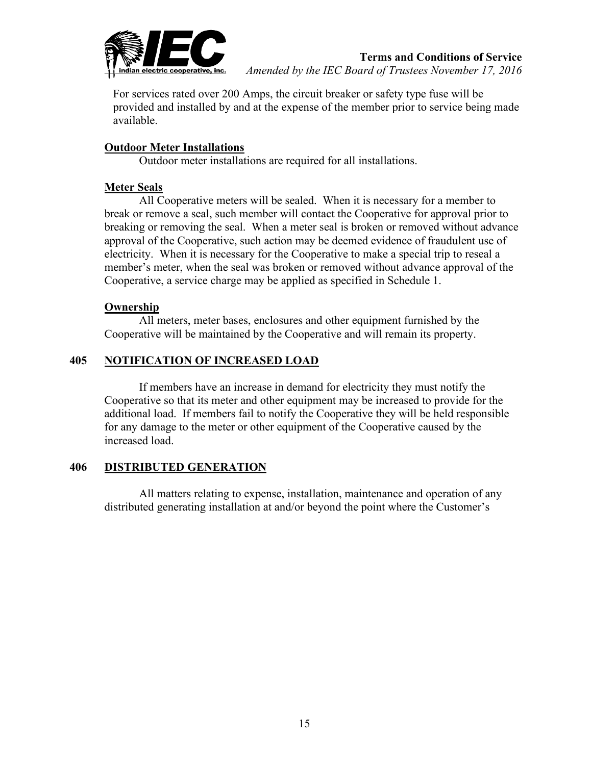

For services rated over 200 Amps, the circuit breaker or safety type fuse will be provided and installed by and at the expense of the member prior to service being made available.

#### **Outdoor Meter Installations**

Outdoor meter installations are required for all installations.

#### **Meter Seals**

All Cooperative meters will be sealed. When it is necessary for a member to break or remove a seal, such member will contact the Cooperative for approval prior to breaking or removing the seal. When a meter seal is broken or removed without advance approval of the Cooperative, such action may be deemed evidence of fraudulent use of electricity. When it is necessary for the Cooperative to make a special trip to reseal a member's meter, when the seal was broken or removed without advance approval of the Cooperative, a service charge may be applied as specified in Schedule 1.

#### **Ownership**

All meters, meter bases, enclosures and other equipment furnished by the Cooperative will be maintained by the Cooperative and will remain its property.

## **405 NOTIFICATION OF INCREASED LOAD**

If members have an increase in demand for electricity they must notify the Cooperative so that its meter and other equipment may be increased to provide for the additional load. If members fail to notify the Cooperative they will be held responsible for any damage to the meter or other equipment of the Cooperative caused by the increased load.

#### **406 DISTRIBUTED GENERATION**

All matters relating to expense, installation, maintenance and operation of any distributed generating installation at and/or beyond the point where the Customer's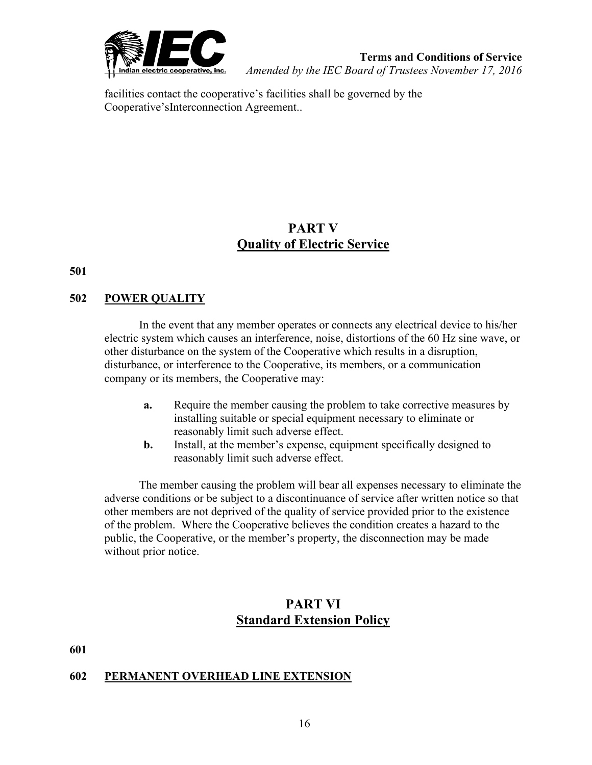

facilities contact the cooperative's facilities shall be governed by the Cooperative'sInterconnection Agreement..

# **PART V Quality of Electric Service**

**501**

## **502 POWER QUALITY**

In the event that any member operates or connects any electrical device to his/her electric system which causes an interference, noise, distortions of the 60 Hz sine wave, or other disturbance on the system of the Cooperative which results in a disruption, disturbance, or interference to the Cooperative, its members, or a communication company or its members, the Cooperative may:

- **a.** Require the member causing the problem to take corrective measures by installing suitable or special equipment necessary to eliminate or reasonably limit such adverse effect.
- **b.** Install, at the member's expense, equipment specifically designed to reasonably limit such adverse effect.

The member causing the problem will bear all expenses necessary to eliminate the adverse conditions or be subject to a discontinuance of service after written notice so that other members are not deprived of the quality of service provided prior to the existence of the problem. Where the Cooperative believes the condition creates a hazard to the public, the Cooperative, or the member's property, the disconnection may be made without prior notice.

# **PART VI Standard Extension Policy**

**601** 

## **602 PERMANENT OVERHEAD LINE EXTENSION**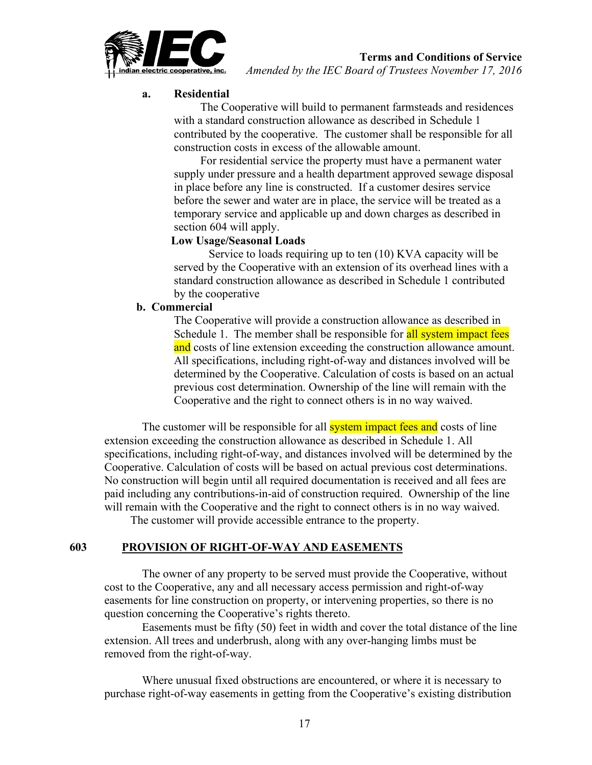

**Terms and Conditions of Service**

*Amended by the IEC Board of Trustees November 17, 2016*

## **a. Residential**

The Cooperative will build to permanent farmsteads and residences with a standard construction allowance as described in Schedule 1 contributed by the cooperative. The customer shall be responsible for all construction costs in excess of the allowable amount.

For residential service the property must have a permanent water supply under pressure and a health department approved sewage disposal in place before any line is constructed. If a customer desires service before the sewer and water are in place, the service will be treated as a temporary service and applicable up and down charges as described in section 604 will apply.

#### **Low Usage/Seasonal Loads**

Service to loads requiring up to ten (10) KVA capacity will be served by the Cooperative with an extension of its overhead lines with a standard construction allowance as described in Schedule 1 contributed by the cooperative

## **b. Commercial**

The Cooperative will provide a construction allowance as described in Schedule 1. The member shall be responsible for all system impact fees and costs of line extension exceeding the construction allowance amount. All specifications, including right-of-way and distances involved will be determined by the Cooperative. Calculation of costs is based on an actual previous cost determination. Ownership of the line will remain with the Cooperative and the right to connect others is in no way waived.

The customer will be responsible for all **system impact fees and** costs of line extension exceeding the construction allowance as described in Schedule 1. All specifications, including right-of-way, and distances involved will be determined by the Cooperative. Calculation of costs will be based on actual previous cost determinations. No construction will begin until all required documentation is received and all fees are paid including any contributions-in-aid of construction required. Ownership of the line will remain with the Cooperative and the right to connect others is in no way waived.

The customer will provide accessible entrance to the property.

## **603 PROVISION OF RIGHT-OF-WAY AND EASEMENTS**

 The owner of any property to be served must provide the Cooperative, without cost to the Cooperative, any and all necessary access permission and right-of-way easements for line construction on property, or intervening properties, so there is no question concerning the Cooperative's rights thereto.

 Easements must be fifty (50) feet in width and cover the total distance of the line extension. All trees and underbrush, along with any over-hanging limbs must be removed from the right-of-way.

 Where unusual fixed obstructions are encountered, or where it is necessary to purchase right-of-way easements in getting from the Cooperative's existing distribution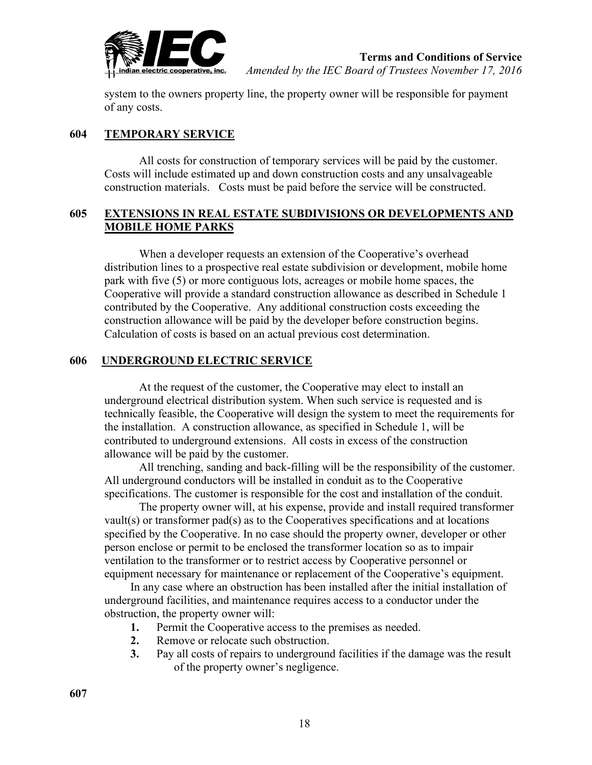

system to the owners property line, the property owner will be responsible for payment of any costs.

## **604 TEMPORARY SERVICE**

All costs for construction of temporary services will be paid by the customer. Costs will include estimated up and down construction costs and any unsalvageable construction materials. Costs must be paid before the service will be constructed.

#### **605 EXTENSIONS IN REAL ESTATE SUBDIVISIONS OR DEVELOPMENTS AND MOBILE HOME PARKS**

When a developer requests an extension of the Cooperative's overhead distribution lines to a prospective real estate subdivision or development, mobile home park with five (5) or more contiguous lots, acreages or mobile home spaces, the Cooperative will provide a standard construction allowance as described in Schedule 1 contributed by the Cooperative. Any additional construction costs exceeding the construction allowance will be paid by the developer before construction begins. Calculation of costs is based on an actual previous cost determination.

## **606 UNDERGROUND ELECTRIC SERVICE**

At the request of the customer, the Cooperative may elect to install an underground electrical distribution system. When such service is requested and is technically feasible, the Cooperative will design the system to meet the requirements for the installation. A construction allowance, as specified in Schedule 1, will be contributed to underground extensions. All costs in excess of the construction allowance will be paid by the customer.

All trenching, sanding and back-filling will be the responsibility of the customer. All underground conductors will be installed in conduit as to the Cooperative specifications. The customer is responsible for the cost and installation of the conduit.

The property owner will, at his expense, provide and install required transformer vault(s) or transformer pad(s) as to the Cooperatives specifications and at locations specified by the Cooperative. In no case should the property owner, developer or other person enclose or permit to be enclosed the transformer location so as to impair ventilation to the transformer or to restrict access by Cooperative personnel or equipment necessary for maintenance or replacement of the Cooperative's equipment.

In any case where an obstruction has been installed after the initial installation of underground facilities, and maintenance requires access to a conductor under the obstruction, the property owner will:

- **1.** Permit the Cooperative access to the premises as needed.
- **2.** Remove or relocate such obstruction.
- **3.** Pay all costs of repairs to underground facilities if the damage was the result of the property owner's negligence.

**607**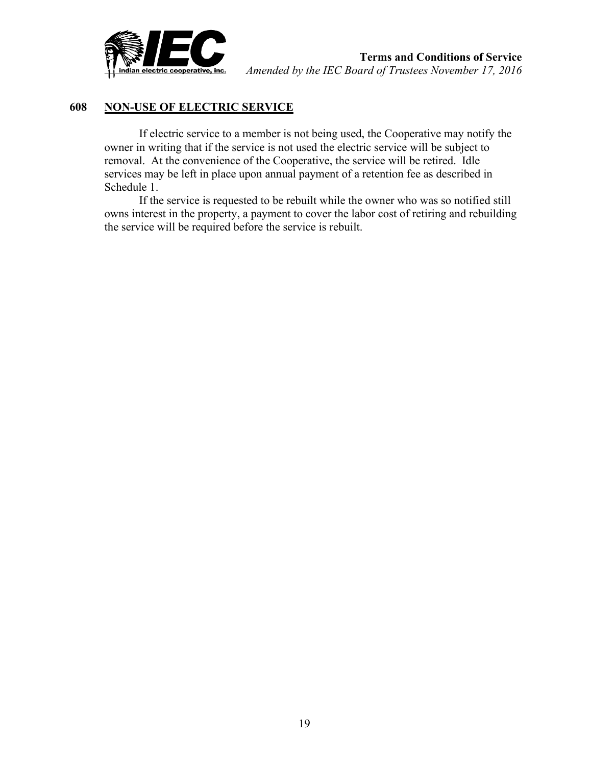

## **608 NON-USE OF ELECTRIC SERVICE**

If electric service to a member is not being used, the Cooperative may notify the owner in writing that if the service is not used the electric service will be subject to removal. At the convenience of the Cooperative, the service will be retired. Idle services may be left in place upon annual payment of a retention fee as described in Schedule 1.

If the service is requested to be rebuilt while the owner who was so notified still owns interest in the property, a payment to cover the labor cost of retiring and rebuilding the service will be required before the service is rebuilt.